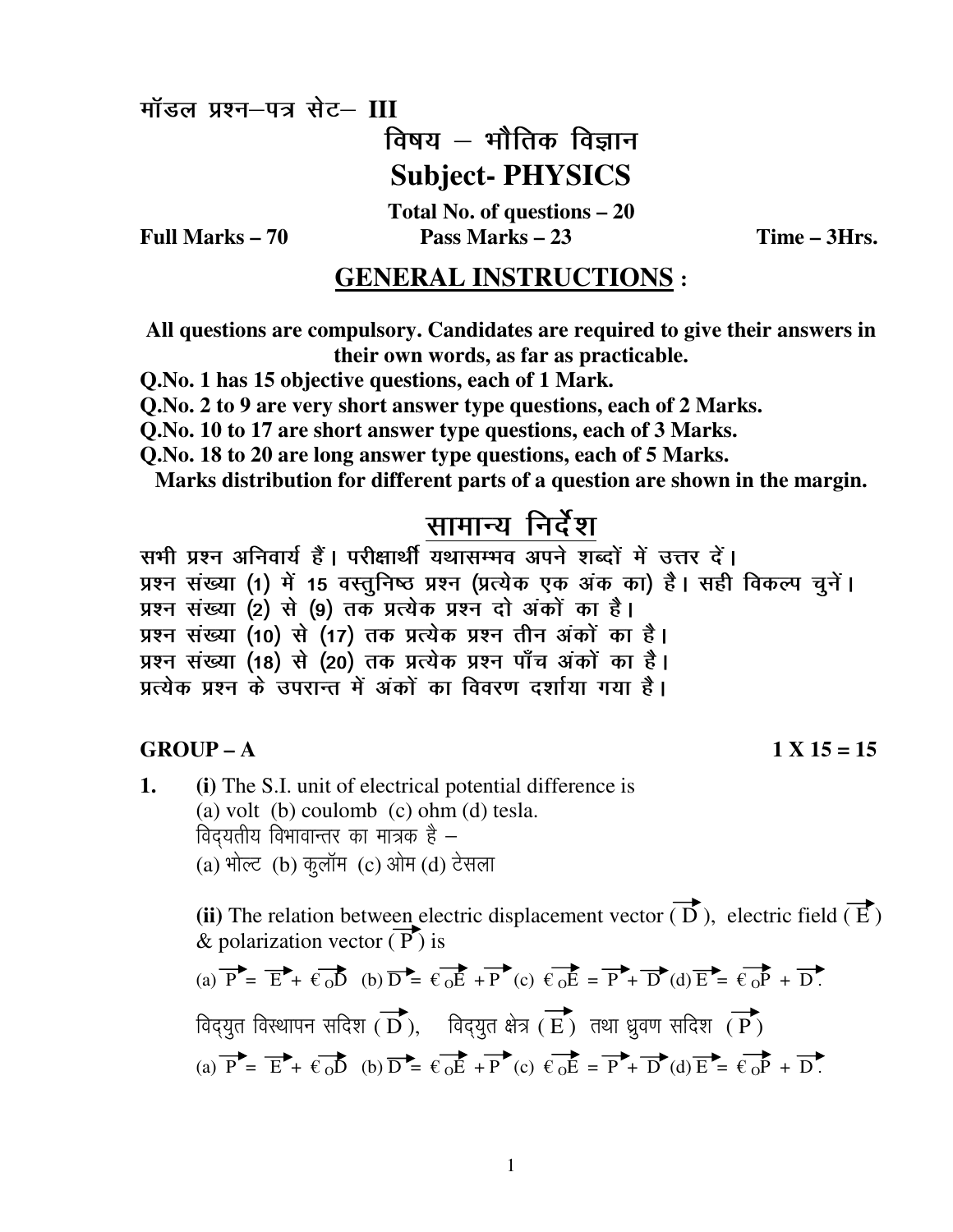मॉडल प्रश्न-पत्र सेट- III

Full Marks  $-70$ 

विषय  $-$  भौतिक विज्ञान **Subject-PHYSICS** 

Total No. of questions  $-20$ Pass Marks  $-23$ 

Time - 3Hrs.

# **GENERAL INSTRUCTIONS:**

All questions are compulsory. Candidates are required to give their answers in their own words, as far as practicable.

O.No. 1 has 15 objective questions, each of 1 Mark.

Q.No. 2 to 9 are very short answer type questions, each of 2 Marks.

O.No. 10 to 17 are short answer type questions, each of 3 Marks.

O.No. 18 to 20 are long answer type questions, each of 5 Marks.

Marks distribution for different parts of a question are shown in the margin.

# सामान्य निर्देश

सभी प्रश्न अनिवार्य हैं। परीक्षार्थी यथासम्भव अपने शब्दों में उत्तर दें। प्रश्न संख्या (1) में 15 वस्तुनिष्ठ प्रश्न (प्रत्येक एक अंक का) है। सही विकल्प चुनें। प्रश्न संख्या (2) से (9) तक प्रत्येक प्रश्न दो अंकों का है। प्रश्न संख्या (10) से (17) तक प्रत्येक प्रश्न तीन अंकों का है। प्रश्न संख्या (18) से (20) तक प्रत्येक प्रश्न पाँच अंकों का है। प्रत्येक प्रश्न के उपरान्त में अंकों का विवरण दर्शाया गया है।

### $GROUP - A$

#### $1 X 15 = 15$

1. (i) The S.I. unit of electrical potential difference is (a) volt (b) coulomb (c) ohm (d) tesla. विदयतीय विभावान्तर का मात्रक है -(a) भोल्ट (b) कुलॉम (c) ओम (d) टेसला

> (ii) The relation between electric displacement vector  $\overrightarrow{D}$ ), electric field  $\overrightarrow{E}$ ) & polarization vector  $(\overline{P})$  is

(a) 
$$
\overrightarrow{P} = \overrightarrow{E} + \overrightarrow{e} \cdot \overrightarrow{D}
$$
 (b)  $\overrightarrow{D} = \overrightarrow{e} \cdot \overrightarrow{E} + \overrightarrow{P}$  (c)  $\overrightarrow{e} \cdot \overrightarrow{E} = \overrightarrow{P} + \overrightarrow{D}$  (d)  $\overrightarrow{E} = \overrightarrow{e} \cdot \overrightarrow{P} + \overrightarrow{D}$ .  
19.1024144  $\overrightarrow{H}$  (d)  $\overrightarrow{E} = \overrightarrow{E} + \overrightarrow{E} \cdot \overrightarrow{D}$   
(a)  $\overrightarrow{P} = \overrightarrow{E} + \overrightarrow{e} \cdot \overrightarrow{D}$  (b)  $\overrightarrow{D} = \overrightarrow{e} \cdot \overrightarrow{E} + \overrightarrow{P}$  (c)  $\overrightarrow{e} \cdot \overrightarrow{E} = \overrightarrow{P} + \overrightarrow{D}$  (d)  $\overrightarrow{E} = \overrightarrow{e} \cdot \overrightarrow{P} + \overrightarrow{D}$ .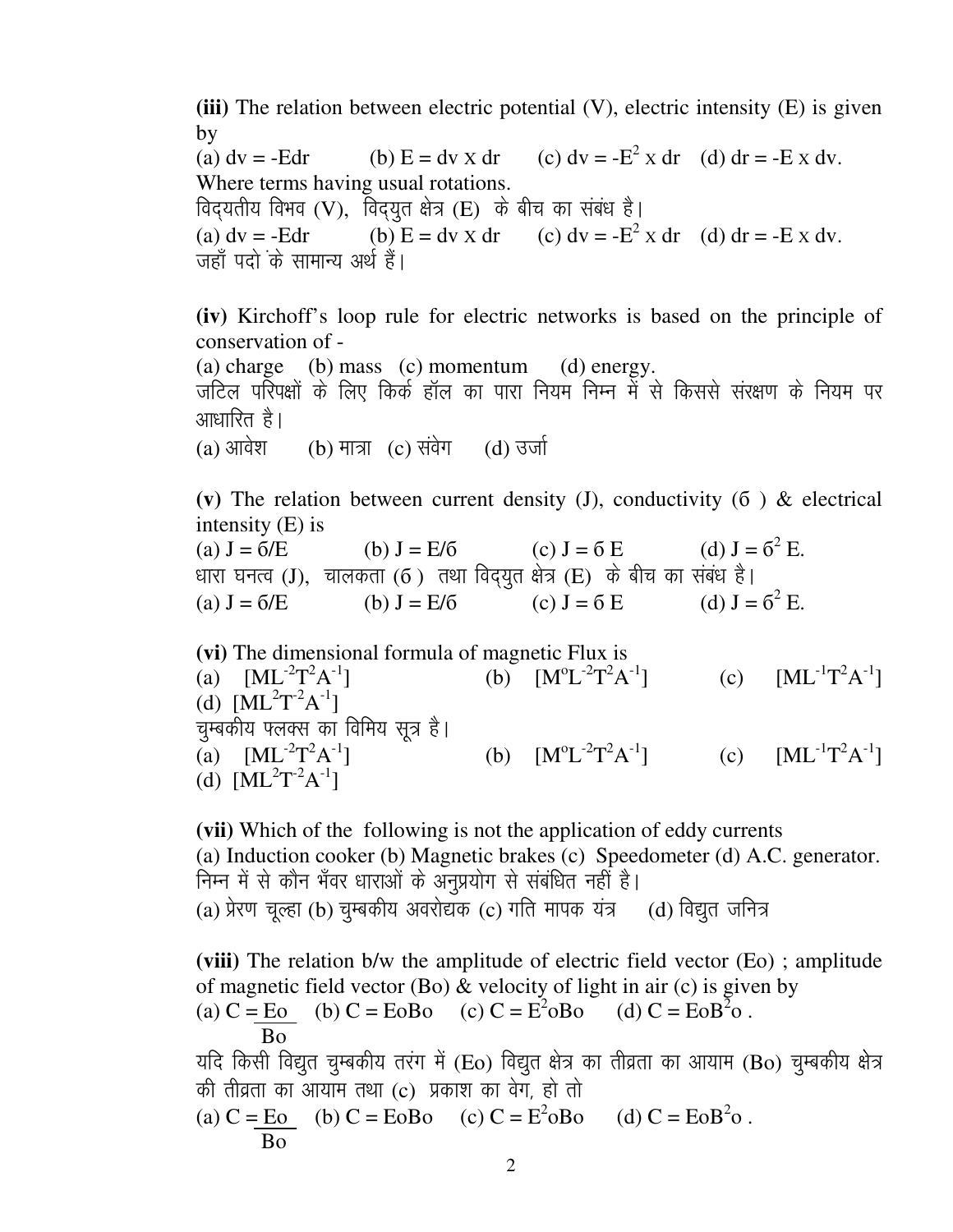**(iii)** The relation between electric potential (V), electric intensity (E) is given by

(a)  $dv = -Edr$  (b)  $E = dv \times dr$ (c)  $dv = -E^2 x dr$  (d)  $dr = -E x dv$ . Where terms having usual rotations. विदयतीय विभव (V), विदयुत क्षेत्र (E) के बीच का संबंध है। (a)  $dv = -Edr$  (b)  $E = dv \times dr$  (c)  $dv = -E^2 \times dr$  (d)  $dr = -E \times dv$ . जहाँ पदो के सामान्य अर्थ हैं।

**(iv)** Kirchoff's loop rule for electric networks is based on the principle of conservation of -

 (a) charge (b) mass (c) momentum (d) energy. जटिल परिपक्षों के लिए किर्क हॉल का पारा नियम निम्न में से किससे संरक्षण के नियम पर

आधारित है।<br>(a) आवेश (b) मात्रा (c) संवेग $\qquad$  (d) उर्जा

(v) The relation between current density  $(J)$ , conductivity  $(6)$  & electrical intensity (E) is

(a)  $J = 6/E$  (b)  $J = E/6$  (c)  $J = 6 E$  $^{2}$  E. धारा घनत्व (J), चालकता (6) तथा विद्युत क्षेत्र (E) के बीच का संबंध है। (a)  $J = 6/E$  (b)  $J = E/6$  (c)  $J = 6 E$  $^2$  E.

**(vi)** The dimensional formula of magnetic Flux is (a)  $[ML^{-2}T^{2}A$  $^{-1}$ ] (b)  $[M^{\circ}L^{-2}T^{2}A$  $\left[ L^{-1}T^{2}A^{-1}\right]$  (c)  $\left[ ML^{-1}T^{2}A^{-1}\right]$ (d)  $[ML^2T^2A^{-1}]$ चुम्बकीय फ्लक्स का विमिय सूत्र है। (a)  $[ML^{-2}T^{2}A$  $^{-1}$ ] (b)  $[M^{\circ}L^{-2}T^{2}A$  $^{-1}$ ] (c)  $[ML^{-1}T^2A^{-1}]$ (d)  $[ML^2T^{-2}A^{-1}]$ 

 **(vii)** Which of the following is not the application of eddy currents (a) Induction cooker (b) Magnetic brakes (c) Speedometer (d) A.C. generator. निम्न में से कौन भँवर धाराओं के अनप्रयोग से संबंधित नहीं है। (a) प्रेरण चल्हा (b) चम्बकीय अवरोद्यक (c) गति मापक यंत्र (d) विद्यत जनित्र

**(viii)** The relation b/w the amplitude of electric field vector (Eo) ; amplitude of magnetic field vector (Bo)  $\&$  velocity of light in air (c) is given by (a)  $C = E_0$  (b)  $C = E_0$  (c)  $C = E^2_0 B_0$  (d)  $C = E_0 B^2_0$ . Bo यदि किसी विद्युत चुम्बकीय तरंग में (Eo) विद्युत क्षेत्र का तीव्रता का आयाम (Bo) चुम्बकीय क्षेत्र की तीव्रता का आयाम तथा (c) प्रकाश का वेग, हो तो (a)  $C = E_0$  (b)  $C = E_0$  (c)  $C = E^2_0 B_0$  (d)  $C = E_0 B^2_0$ . Bo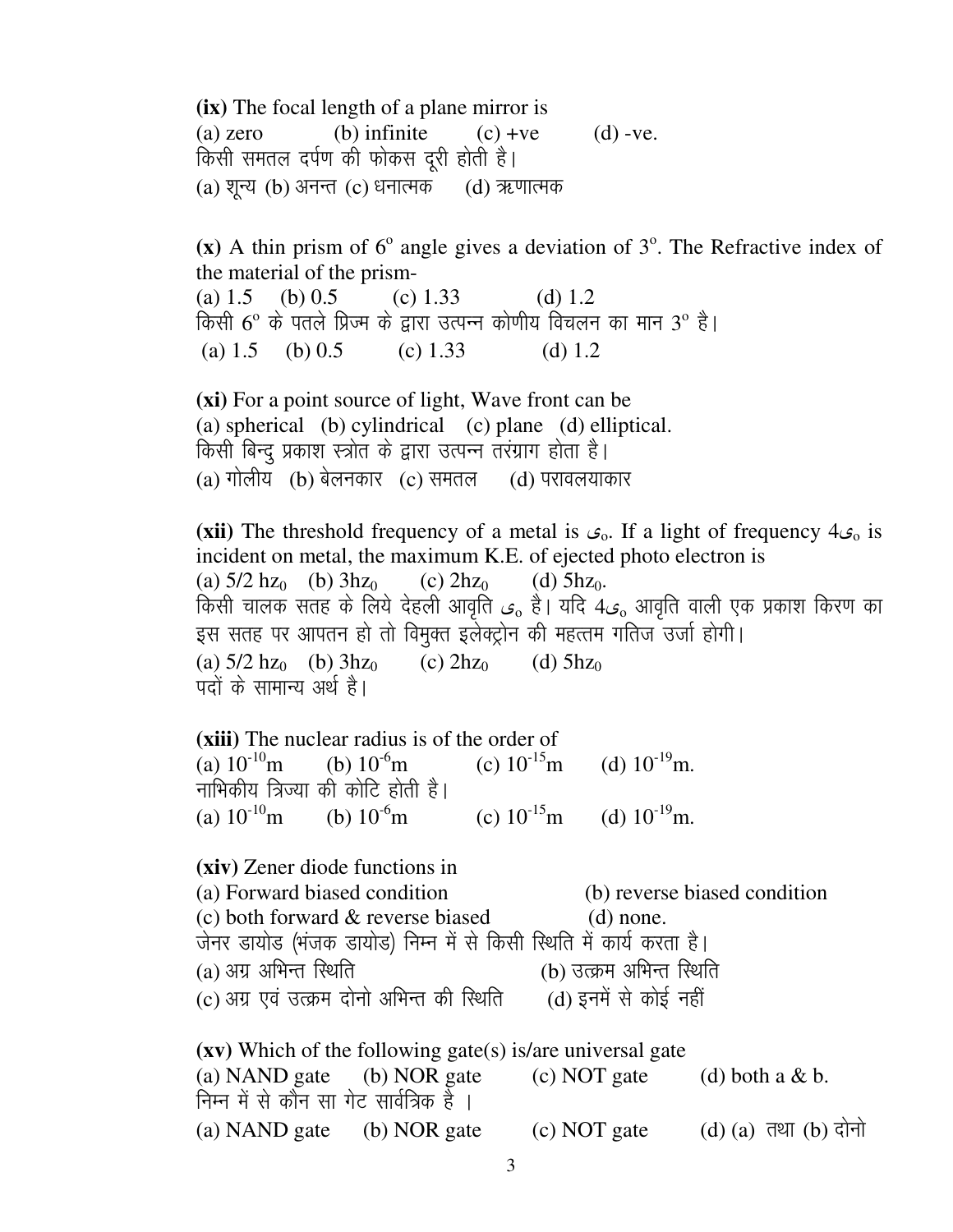(ix) The focal length of a plane mirror is  $(b)$  infinite  $(d)$  -ve.  $(a)$  zero  $(c) + ve$ किसी समतल दर्पण की फोकस दरी होती है। (a) शून्य (b) अनन्त (c) धनात्मक (d) ऋणात्मक

(x) A thin prism of  $6^{\circ}$  angle gives a deviation of  $3^{\circ}$ . The Refractive index of the material of the prism-(a)  $1.5$ (b)  $0.5$ (c)  $1.33$ (d)  $1.2$ किसी 6° के पतले प्रिज्म के द्वारा उत्पन्न कोणीय विचलन का मान 3° है। (a)  $1.5$  (b)  $0.5$  $(c) 1.33$ (d)  $1.2$ 

(xi) For a point source of light, Wave front can be (a) spherical (b) cylindrical (c) plane (d) elliptical. किसी बिन्दू प्रकाश स्त्रोत के द्वारा उत्पन्न तरंग्राग होता है।  $(a)$  गोलीय  $(b)$  बेलनकार  $(c)$  समतल  $(d)$  परावलयाकार

(xii) The threshold frequency of a metal is  $c_0$ . If a light of frequency  $4c_0$  is incident on metal, the maximum K.E. of ejected photo electron is (a)  $5/2$  hz<sub>0</sub> (b)  $3$ hz<sub>0</sub> (c)  $2hz_0$ (d)  $5hz<sub>0</sub>$ . किसी चालक सतह के लिये देहली आवृति ر $\epsilon$  है। यदि  $4\epsilon$ ु आवृति वाली एक प्रकाश किरण का इस सतह पर आपतन हो तो विमुक्त इलेक्ट्रोन की महत्तम गतिज उर्जा होगी। (a)  $5/2$  hz<sub>0</sub> (b)  $3$ hz<sub>0</sub>  $(c)$  2hz<sub>0</sub>  $(d)$  5hz<sub>0</sub> पदों के सामान्य अर्थ है।

(xiii) The nuclear radius is of the order of (a)  $10^{-10}$ m (c)  $10^{-15}$ m (d)  $10^{-19}$ m. (b)  $10^{6}$ m नाभिकीय त्रिज्या की कोटि होती है। (d)  $10^{-19}$  m. (a)  $10^{-10}$ m (b)  $10^{-6}$ m (c)  $10^{-15}$ m

(xiv) Zener diode functions in (a) Forward biased condition (b) reverse biased condition (c) both forward & reverse biased  $(d)$  none. जेनर डायोड (भंजक डायोड) निम्न में से किसी रिथति में कार्य करता है।  $(a)$  अग्र अभिन्त स्थिति (b) उत्क्रम अभिन्त स्थिति (d) इनमें से कोई नहीं (c) अग्र एवं उत्क्रम दोनो अभिन्त की स्थिति  $(xv)$  Which of the following gate(s) is/are universal gate

(c) NOT gate (a) NAND gate (b) NOR gate  $(d)$  both a & b. निम्न में से कौन सा गेट सार्वत्रिक है । (a) NAND gate (b) NOR gate (c) NOT gate  $(d)$   $(a)$   $\overline{d}$   $d$   $(b)$   $\overline{d}$  $\overline{d}$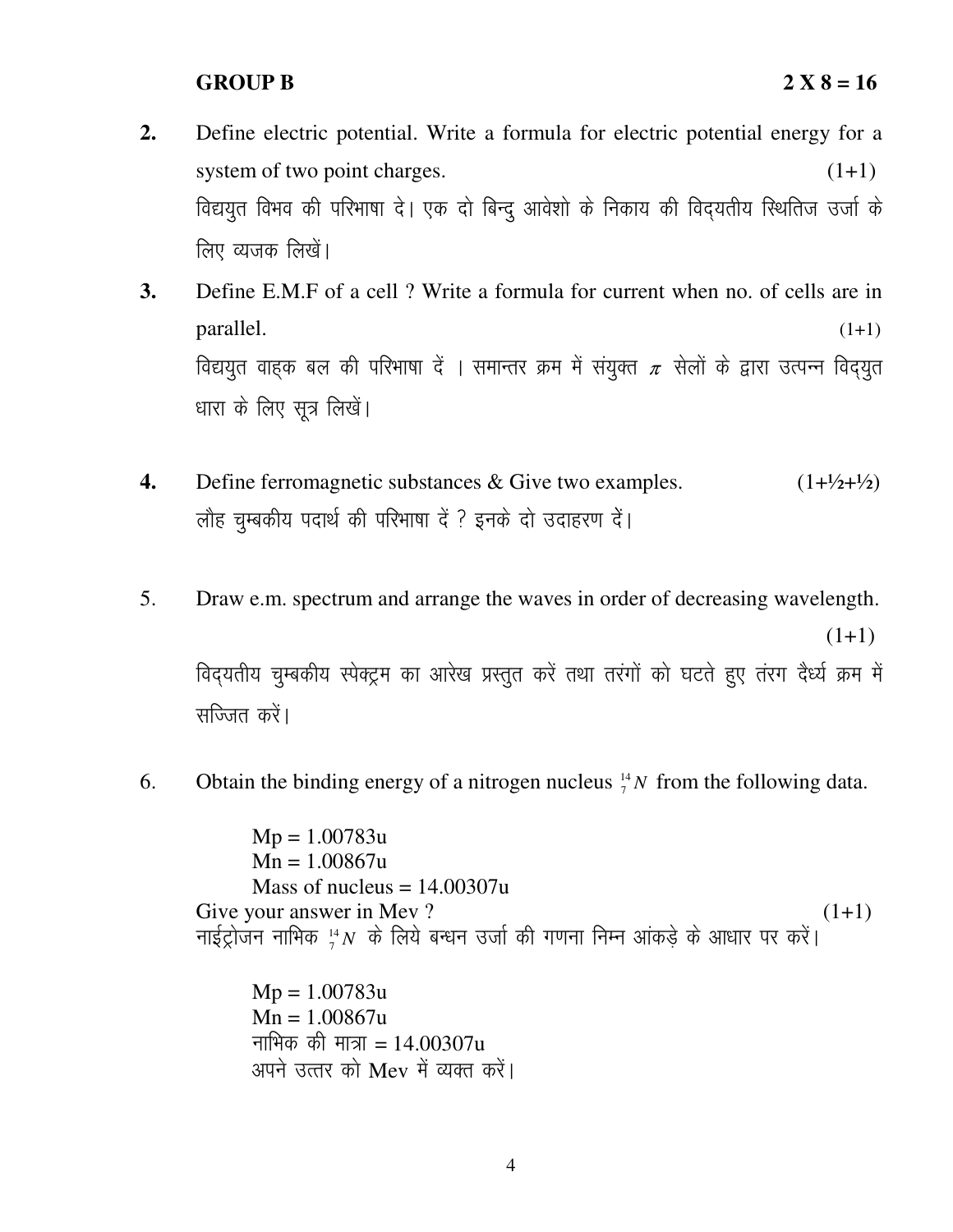## **GROUP B 2 X 8 = 16**

- **2.** Define electric potential. Write a formula for electric potential energy for a system of two point charges.  $(1+1)$ विद्ययुत विभव की परिभाषा दे। एक दो बिन्दु आवेशो के निकाय की विदयतीय स्थितिज उर्जा के लिए व्यजक लिखें।
- **3.** Define E.M.F of a cell ? Write a formula for current when no. of cells are in parallel. (1+1) विद्ययुत वाहक बल की परिभाषा दें । समान्तर क्रम में संयुक्त  $\pi$  सेलों के द्वारा उत्पन्न विदयुत धारा के लिए सूत्र लिखें।
- **4.** Define ferromagnetic substances & Give two examples.  $(1+\frac{1}{2}+\frac{1}{2})$ लौह चुम्बकीय पदार्थ की परिभाषा दें ? इनके दो उदाहरण दें।
- 5. Draw e.m. spectrum and arrange the waves in order of decreasing wavelength.

 $(1+1)$ 

विद्यतीय चुम्बकीय स्पेक्ट्रम का आरेख प्रस्तुत करें तथा तरंगों को घटते हुए तंरग दैर्ध्य क्रम में सज्जित करें।

6. Obtain the binding energy of a nitrogen nucleus  ${}^{14}_{7}N$  from the following data.

 $Mp = 1.00783u$  Mn = 1.00867u Mass of nucleus  $= 14.00307u$ Give your answer in Mev? (1+1) नाईट्रोजन नाभिक  ${}^{14}_{7}N$  के लिये बन्धन उर्जा की गणना निम्न आंकड़े के आधार पर करें।

 $Mp = 1.00783u$  $Mn = 1.00867u$ नाभिक की मात्रा =  $14.00307u$ अपने उत्तर को  $Mev$  में व्यक्त करें।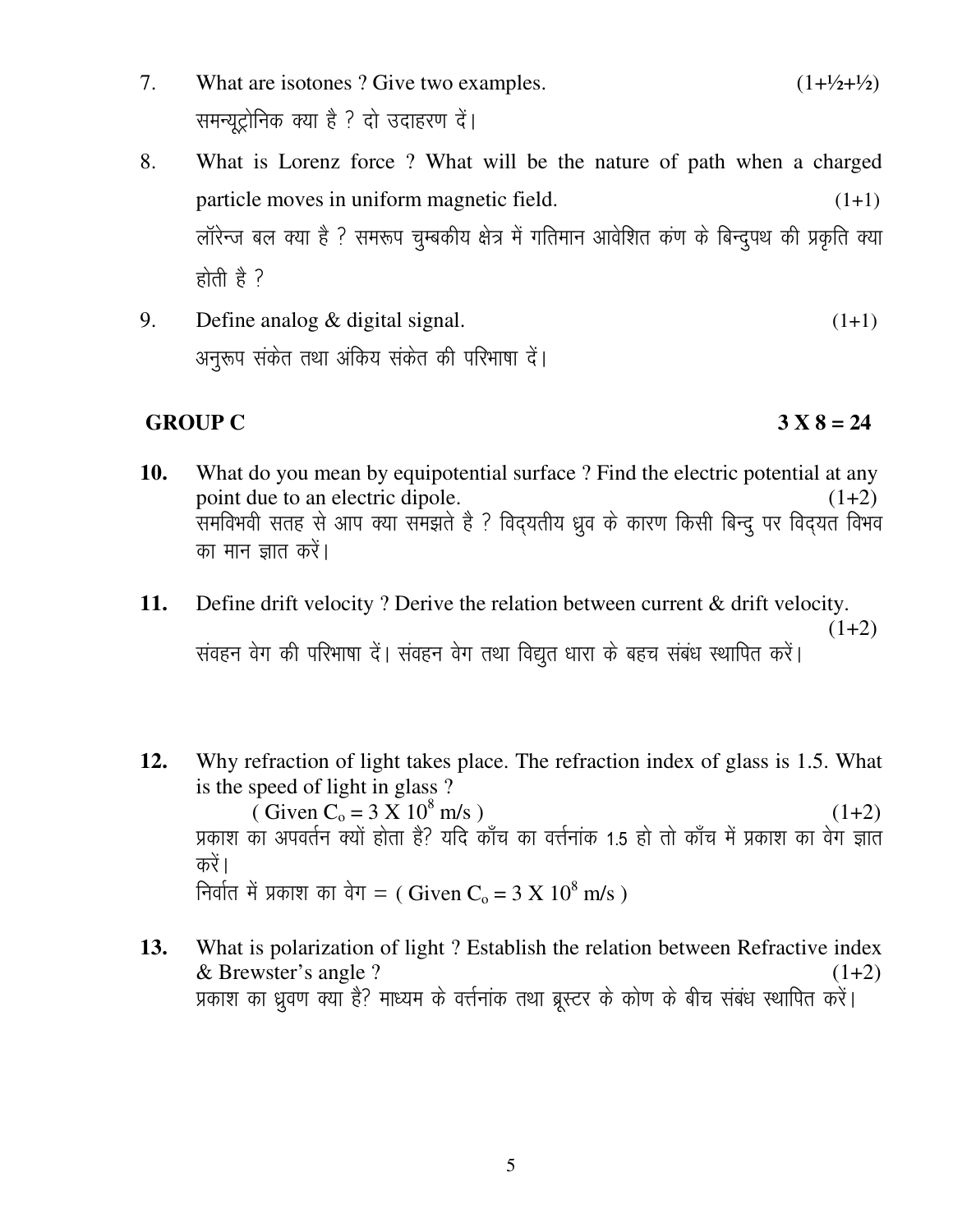- 7. What are isotones ? Give two examples.  $(1+\frac{1}{2}+\frac{1}{2})$ समन्यूट्रोनिक क्या है ? दो उदाहरण दें।
- 8. What is Lorenz force ? What will be the nature of path when a charged particle moves in uniform magnetic field.  $(1+1)$ लॉरेन्ज बल क्या है ? समरूप चुम्बकीय क्षेत्र में गतिमान आवेशित कंण के बिन्दुपथ की प्रकृति क्या होती है $\overline{3}$
- 9. Define analog  $\&$  digital signal. (1+1) अनुरूप संकेत तथा अंकिय संकेत की परिभाषा दें।

# **GROUP C 3 X 8 = 24**

- 
- **10.** What do you mean by equipotential surface ? Find the electric potential at any point due to an electric dipole.  $(1+2)$ ्<br>समविभवी सतह से आप क्या समझते है ? विदयतीय ध्रुव के कारण किसी बिन्दू पर विदयत विभव का मान ज्ञात करें।
- **11.** Define drift velocity ? Derive the relation between current & drift velocity.  $(1+2)$ संवहन वेग की परिभाषा दें। संवहन वेग तथा विद्युत धारा के बहच संबंध स्थापित करें।
- **12.** Why refraction of light takes place. The refraction index of glass is 1.5. What is the speed of light in glass ?

( Given  $C_0 = 3 \text{ X } 10^8 \text{ m/s}$  ) (1+2) प्रकाश का अपवर्तन क्यों होता है? यदि काँच का वर्त्तनांक 1.5 हो तो काँच में प्रकाश का वेग ज्ञात करें। निर्वात में प्रकाश का वेग = ( Given C $_{\mathrm{o}}$  = 3 X 10 $^{8}$  m/s )

**13.** What is polarization of light ? Establish the relation between Refractive index  $\&$  Brewster's angle ? (1+2) प्रकाश का ध्रुवण क्या है? माध्यम के वर्त्तनांक तथा ब्रूस्टर के कोण के बीच संबंध स्थापित करें।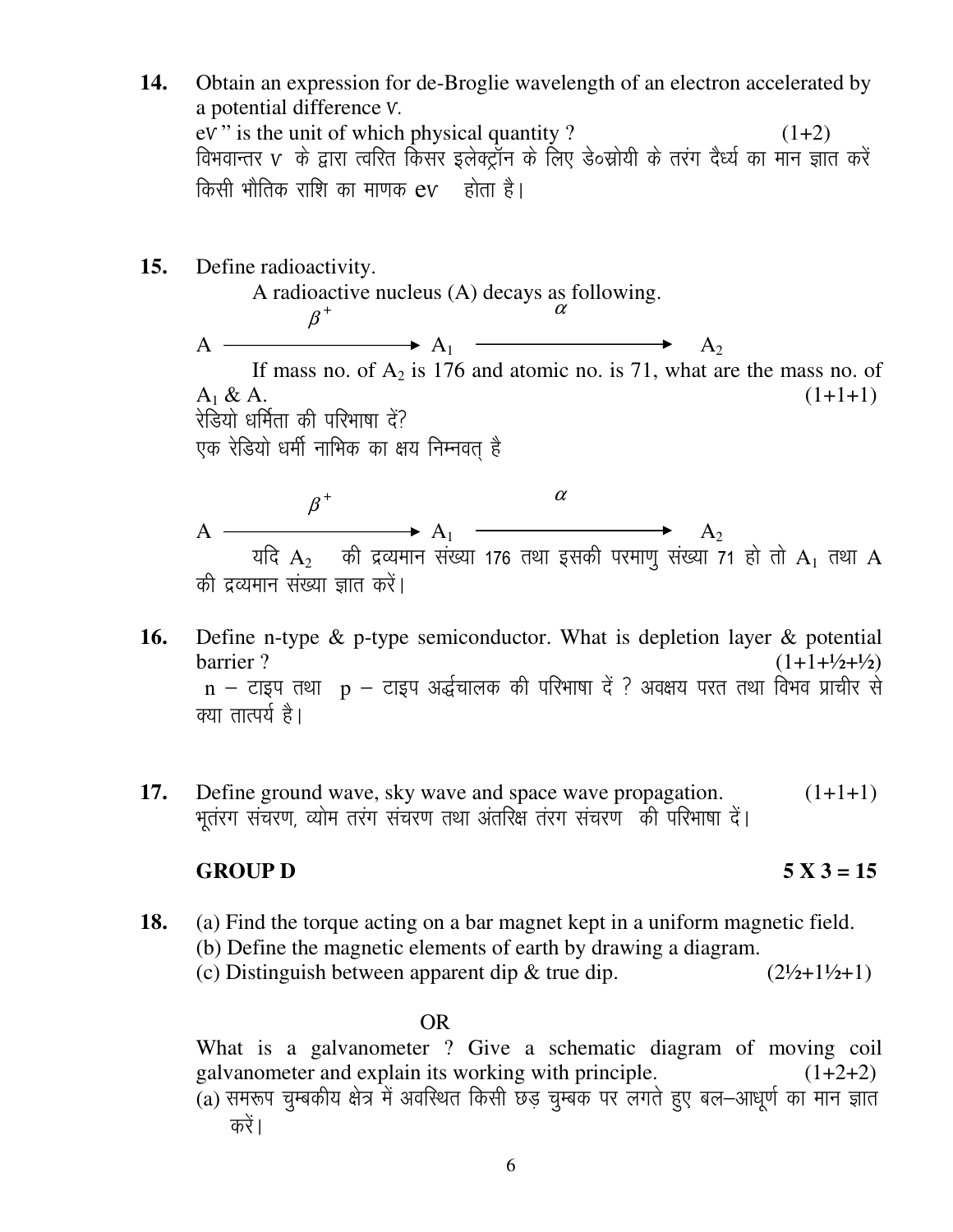- **14.** Obtain an expression for de-Broglie wavelength of an electron accelerated by a potential difference Ѵ.  $eV$ " is the unit of which physical quantity ? (1+2) विभवान्तर V के द्वारा त्वरित किसर इलेक्ट्रॉन के लिए डे॰स्रोयी के तरंग दैर्ध्य का मान ज्ञात करें किसी भौतिक राशि का माणक  $ev$  होता है।
- **15.** Define radioactivity.

A radioactive nucleus (A) decays as following.  $\beta^+$  and  $\alpha$  $A \longrightarrow A_1 \longrightarrow A_2$ If mass no. of  $A_2$  is 176 and atomic no. is 71, what are the mass no. of  $A_1 \& A_2$  (1+1+1) रेडियो धर्मिता की परिभाषा दें? एक रेडियो धर्मी नाभिक का क्षय निम्नवत है  $\beta^+$  and  $\alpha$ 

 $A \longrightarrow A_1 \longrightarrow A_2$ यदि  ${\rm A_2}$  ) की द्रव्यमान संख्या 176 तथा इसकी परमाणु संख्या 71 हो तो  ${\rm A_1}$  तथा  ${\rm A}$ की द्रव्यमान संख्या ज्ञात करें।

- **16.** Define n-type & p-type semiconductor. What is depletion layer & potential  $barrier$  ? (1+1+ $\frac{1}{2}$ + $\frac{1}{2}$ )  $n -$  टाइप तथा  $p -$  टाइप अर्द्धचालक की परिभाषा दें ? अवक्षय परत तथा विभव प्राचीर से क्या तात्पर्य है।
- **17.** Define ground wave, sky wave and space wave propagation.  $(1+1+1)$ भूतरग संचरण, व्योम तरंग संचरण तथा अंतरिक्ष तरंग संचरण की परिभाषा दें।

# **GROUP D 5 X 3 = 15**

**18.** (a) Find the torque acting on a bar magnet kept in a uniform magnetic field. (b) Define the magnetic elements of earth by drawing a diagram. (c) Distinguish between apparent dip  $\&$  true dip.  $(2\frac{1}{2}+1\frac{1}{2}+1)$ 

# OR

 What is a galvanometer ? Give a schematic diagram of moving coil galvanometer and explain its working with principle.  $(1+2+2)$  $\bar{a}$ ) समरूप चुम्बकीय क्षेत्र में अवस्थित किसी छड़ चुम्बक पर लगते हुए बल-आधूर्ण का मान ज्ञात करें।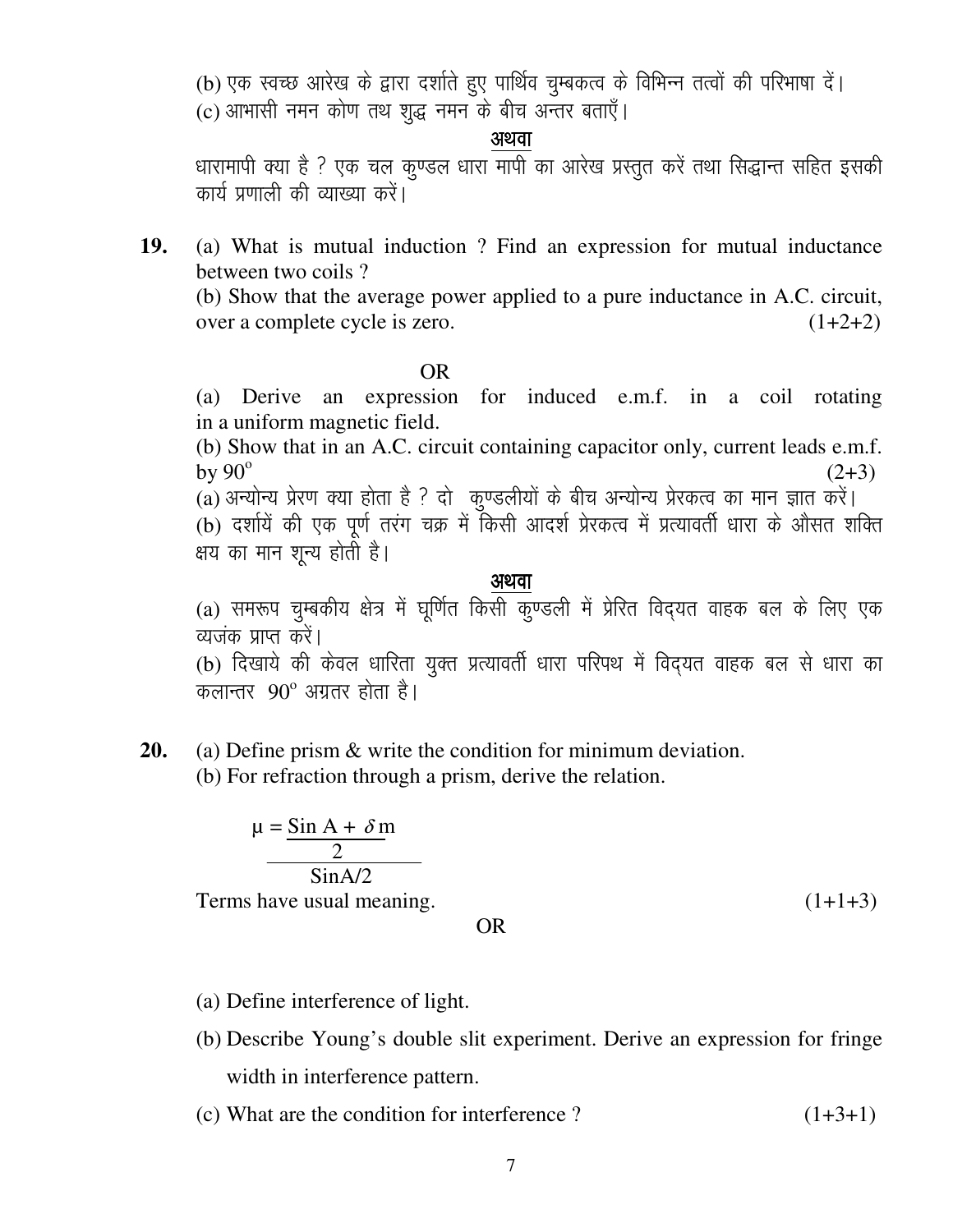(b) एक स्वच्छ आरेख के द्वारा दर्शाते हुए पार्थिव चुम्बकत्व के विभिन्न तत्वों की परिभाषा दें। (c) आभासी नमन कोण तथ शुद्ध नमन के बीच अन्तर बताएँ।

#### अथवा

धारामापी क्या है ? एक चल कण्डल धारा मापी का आरेख प्रस्तुत करें तथा सिद्धान्त सहित इसकी कार्य प्रणाली की व्याख्या करें।

19. (a) What is mutual induction ? Find an expression for mutual inductance between two coils?

(b) Show that the average power applied to a pure inductance in A.C. circuit, over a complete cycle is zero.  $(1+2+2)$ 

**OR** 

(a) Derive an expression for induced e.m.f. in a coil rotating in a uniform magnetic field.

(b) Show that in an A.C. circuit containing capacitor only, current leads e.m.f. by  $90^\circ$  $(2+3)$ 

(a) अन्योन्य प्रेरण क्या होता है ? दो कुण्डलीयों के बीच अन्योन्य प्रेरकत्व का मान ज्ञात करें।

(b) दर्शायें की एक पूर्ण तरंग चक्र में किसी आदर्श प्रेरकत्व में प्रत्यावर्ती धारा के औसत शक्ति क्षय का मान शून्य होती है।

#### अथवा

(a) समरूप चुम्बकीय क्षेत्र में घूर्णित किसी कुण्डली में प्रेरित विद्यत वाहक बल के लिए एक व्यजंक प्राप्त करें।

(b) दिखाये की केवल धारिता युक्त प्रत्यावर्ती धारा परिपथ में विद्यत वाहक बल से धारा का कलान्तर  $90^\circ$  अग्रतर होता है।

20. (a) Define prism  $\&$  write the condition for minimum deviation. (b) For refraction through a prism, derive the relation.

$$
\mu = \frac{\sin A + \delta m}{2}
$$
  
 
$$
\frac{2}{\sin A/2}
$$

Terms have usual meaning.

 $(1+1+3)$ 

OR.

- (a) Define interference of light.
- (b) Describe Young's double slit experiment. Derive an expression for fringe width in interference pattern.
- (c) What are the condition for interference?  $(1+3+1)$